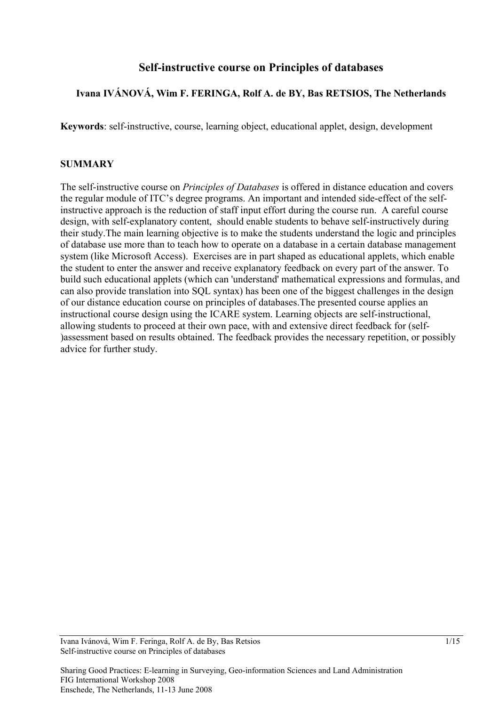# **Self-instructive course on Principles of databases**

#### **Ivana IVÁNOVÁ, Wim F. FERINGA, Rolf A. de BY, Bas RETSIOS, The Netherlands**

**Keywords**: self-instructive, course, learning object, educational applet, design, development

#### **SUMMARY**

The self-instructive course on *Principles of Databases* is offered in distance education and covers the regular module of ITC's degree programs. An important and intended side-effect of the selfinstructive approach is the reduction of staff input effort during the course run. A careful course design, with self-explanatory content, should enable students to behave self-instructively during their study.The main learning objective is to make the students understand the logic and principles of database use more than to teach how to operate on a database in a certain database management system (like Microsoft Access). Exercises are in part shaped as educational applets, which enable the student to enter the answer and receive explanatory feedback on every part of the answer. To build such educational applets (which can 'understand' mathematical expressions and formulas, and can also provide translation into SQL syntax) has been one of the biggest challenges in the design of our distance education course on principles of databases.The presented course applies an instructional course design using the ICARE system. Learning objects are self-instructional, allowing students to proceed at their own pace, with and extensive direct feedback for (self- )assessment based on results obtained. The feedback provides the necessary repetition, or possibly advice for further study.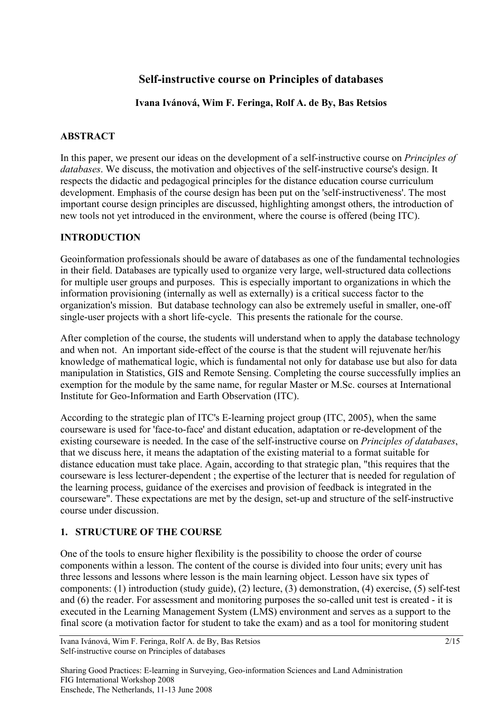# **Self-instructive course on Principles of databases**

## **Ivana Ivánová, Wim F. Feringa, Rolf A. de By, Bas Retsios**

## **ABSTRACT**

In this paper, we present our ideas on the development of a self-instructive course on *Principles of databases*. We discuss, the motivation and objectives of the self-instructive course's design. It respects the didactic and pedagogical principles for the distance education course curriculum development. Emphasis of the course design has been put on the 'self-instructiveness'. The most important course design principles are discussed, highlighting amongst others, the introduction of new tools not yet introduced in the environment, where the course is offered (being ITC).

## **INTRODUCTION**

Geoinformation professionals should be aware of databases as one of the fundamental technologies in their field. Databases are typically used to organize very large, well-structured data collections for multiple user groups and purposes. This is especially important to organizations in which the information provisioning (internally as well as externally) is a critical success factor to the organization's mission. But database technology can also be extremely useful in smaller, one-off single-user projects with a short life-cycle. This presents the rationale for the course.

After completion of the course, the students will understand when to apply the database technology and when not. An important side-effect of the course is that the student will rejuvenate her/his knowledge of mathematical logic, which is fundamental not only for database use but also for data manipulation in Statistics, GIS and Remote Sensing. Completing the course successfully implies an exemption for the module by the same name, for regular Master or M.Sc. courses at International Institute for Geo-Information and Earth Observation (ITC).

According to the strategic plan of ITC's E-learning project group (ITC, 2005), when the same courseware is used for 'face-to-face' and distant education, adaptation or re-development of the existing courseware is needed. In the case of the self-instructive course on *Principles of databases*, that we discuss here, it means the adaptation of the existing material to a format suitable for distance education must take place. Again, according to that strategic plan, "this requires that the courseware is less lecturer-dependent ; the expertise of the lecturer that is needed for regulation of the learning process, guidance of the exercises and provision of feedback is integrated in the courseware". These expectations are met by the design, set-up and structure of the self-instructive course under discussion.

## **1. STRUCTURE OF THE COURSE**

One of the tools to ensure higher flexibility is the possibility to choose the order of course components within a lesson. The content of the course is divided into four units; every unit has three lessons and lessons where lesson is the main learning object. Lesson have six types of components: (1) introduction (study guide), (2) lecture, (3) demonstration, (4) exercise, (5) self-test and (6) the reader. For assessment and monitoring purposes the so-called unit test is created - it is executed in the Learning Management System (LMS) environment and serves as a support to the final score (a motivation factor for student to take the exam) and as a tool for monitoring student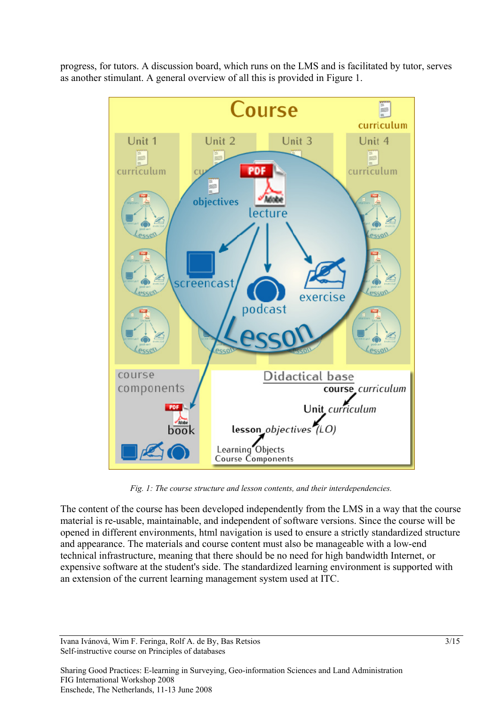progress, for tutors. A discussion board, which runs on the LMS and is facilitated by tutor, serves as another stimulant. A general overview of all this is provided in Figure 1.



*Fig. 1: The course structure and lesson contents, and their interdependencies.*

The content of the course has been developed independently from the LMS in a way that the course material is re-usable, maintainable, and independent of software versions. Since the course will be opened in different environments, html navigation is used to ensure a strictly standardized structure and appearance. The materials and course content must also be manageable with a low-end technical infrastructure, meaning that there should be no need for high bandwidth Internet, or expensive software at the student's side. The standardized learning environment is supported with an extension of the current learning management system used at ITC.

Ivana Ivánová, Wim F. Feringa, Rolf A. de By, Bas Retsios 3/15 Self-instructive course on Principles of databases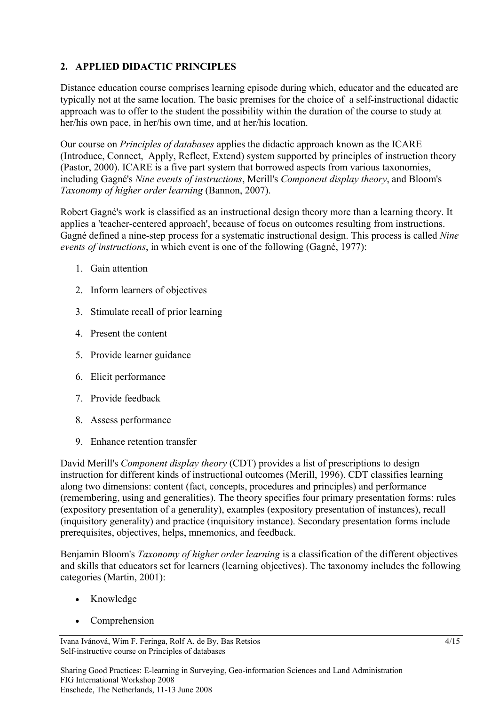## **2. APPLIED DIDACTIC PRINCIPLES**

Distance education course comprises learning episode during which, educator and the educated are typically not at the same location. The basic premises for the choice of a self-instructional didactic approach was to offer to the student the possibility within the duration of the course to study at her/his own pace, in her/his own time, and at her/his location.

Our course on *Principles of databases* applies the didactic approach known as the ICARE (Introduce, Connect, Apply, Reflect, Extend) system supported by principles of instruction theory (Pastor, 2000). ICARE is a five part system that borrowed aspects from various taxonomies, including Gagné's *Nine events of instructions*, Merill's *Component display theory*, and Bloom's *Taxonomy of higher order learning* (Bannon, 2007).

Robert Gagné's work is classified as an instructional design theory more than a learning theory. It applies a 'teacher-centered approach', because of focus on outcomes resulting from instructions. Gagné defined a nine-step process for a systematic instructional design. This process is called *Nine events of instructions*, in which event is one of the following (Gagné, 1977):

- 1. Gain attention
- 2. Inform learners of objectives
- 3. Stimulate recall of prior learning
- 4. Present the content
- 5. Provide learner guidance
- 6. Elicit performance
- 7. Provide feedback
- 8. Assess performance
- 9. Enhance retention transfer

David Merill's *Component display theory* (CDT) provides a list of prescriptions to design instruction for different kinds of instructional outcomes (Merill, 1996). CDT classifies learning along two dimensions: content (fact, concepts, procedures and principles) and performance (remembering, using and generalities). The theory specifies four primary presentation forms: rules (expository presentation of a generality), examples (expository presentation of instances), recall (inquisitory generality) and practice (inquisitory instance). Secondary presentation forms include prerequisites, objectives, helps, mnemonics, and feedback.

Benjamin Bloom's *Taxonomy of higher order learning* is a classification of the different objectives and skills that educators set for learners (learning objectives). The taxonomy includes the following categories (Martin, 2001):

- Knowledge
- Comprehension

Ivana Ivánová, Wim F. Feringa, Rolf A. de By, Bas Retsios 4/15 Self-instructive course on Principles of databases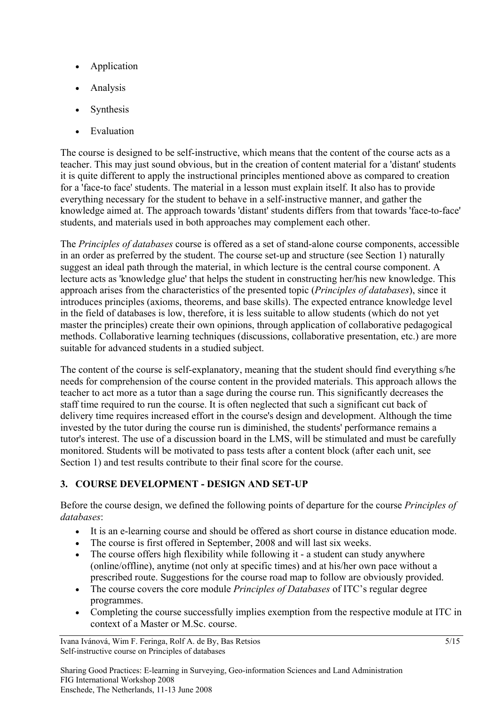- **Application**
- Analysis
- **Synthesis**
- Evaluation

The course is designed to be self-instructive, which means that the content of the course acts as a teacher. This may just sound obvious, but in the creation of content material for a 'distant' students it is quite different to apply the instructional principles mentioned above as compared to creation for a 'face-to face' students. The material in a lesson must explain itself. It also has to provide everything necessary for the student to behave in a self-instructive manner, and gather the knowledge aimed at. The approach towards 'distant' students differs from that towards 'face-to-face' students, and materials used in both approaches may complement each other.

The *Principles of databases* course is offered as a set of stand-alone course components, accessible in an order as preferred by the student. The course set-up and structure (see Section 1) naturally suggest an ideal path through the material, in which lecture is the central course component. A lecture acts as 'knowledge glue' that helps the student in constructing her/his new knowledge. This approach arises from the characteristics of the presented topic (*Principles of databases*), since it introduces principles (axioms, theorems, and base skills). The expected entrance knowledge level in the field of databases is low, therefore, it is less suitable to allow students (which do not yet master the principles) create their own opinions, through application of collaborative pedagogical methods. Collaborative learning techniques (discussions, collaborative presentation, etc.) are more suitable for advanced students in a studied subject.

The content of the course is self-explanatory, meaning that the student should find everything s/he needs for comprehension of the course content in the provided materials. This approach allows the teacher to act more as a tutor than a sage during the course run. This significantly decreases the staff time required to run the course. It is often neglected that such a significant cut back of delivery time requires increased effort in the course's design and development. Although the time invested by the tutor during the course run is diminished, the students' performance remains a tutor's interest. The use of a discussion board in the LMS, will be stimulated and must be carefully monitored. Students will be motivated to pass tests after a content block (after each unit, see Section 1) and test results contribute to their final score for the course.

# **3. COURSE DEVELOPMENT - DESIGN AND SET-UP**

Before the course design, we defined the following points of departure for the course *Principles of databases*:

- It is an e-learning course and should be offered as short course in distance education mode.
- The course is first offered in September, 2008 and will last six weeks.
- The course offers high flexibility while following it a student can study anywhere (online/offline), anytime (not only at specific times) and at his/her own pace without a prescribed route. Suggestions for the course road map to follow are obviously provided.
- The course covers the core module *Principles of Databases* of ITC's regular degree programmes.
- Completing the course successfully implies exemption from the respective module at ITC in context of a Master or M.Sc. course.

Ivana Ivánová, Wim F. Feringa, Rolf A. de By, Bas Retsios 5/15 Self-instructive course on Principles of databases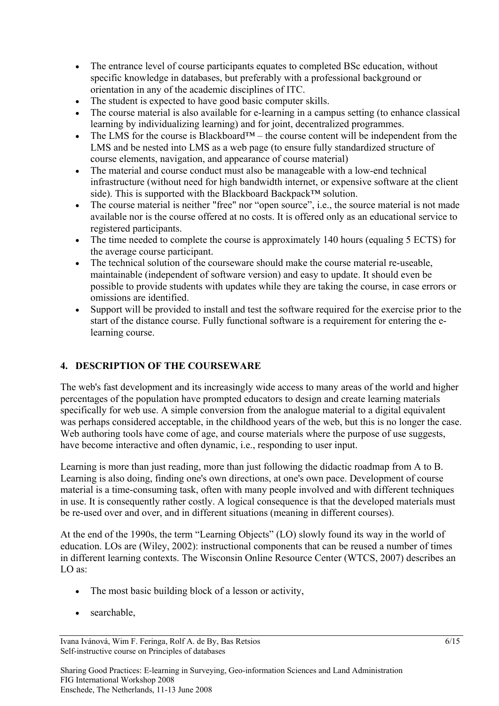- The entrance level of course participants equates to completed BSc education, without specific knowledge in databases, but preferably with a professional background or orientation in any of the academic disciplines of ITC.
- The student is expected to have good basic computer skills.
- The course material is also available for e-learning in a campus setting (to enhance classical learning by individualizing learning) and for joint, decentralized programmes.
- The LMS for the course is Blackboard<sup>TM</sup> the course content will be independent from the LMS and be nested into LMS as a web page (to ensure fully standardized structure of course elements, navigation, and appearance of course material)
- The material and course conduct must also be manageable with a low-end technical infrastructure (without need for high bandwidth internet, or expensive software at the client side). This is supported with the Blackboard Backpack™ solution.
- The course material is neither "free" nor "open source", i.e., the source material is not made available nor is the course offered at no costs. It is offered only as an educational service to registered participants.
- The time needed to complete the course is approximately 140 hours (equaling 5 ECTS) for the average course participant.
- The technical solution of the courseware should make the course material re-useable. maintainable (independent of software version) and easy to update. It should even be possible to provide students with updates while they are taking the course, in case errors or omissions are identified.
- Support will be provided to install and test the software required for the exercise prior to the start of the distance course. Fully functional software is a requirement for entering the elearning course.

# **4. DESCRIPTION OF THE COURSEWARE**

The web's fast development and its increasingly wide access to many areas of the world and higher percentages of the population have prompted educators to design and create learning materials specifically for web use. A simple conversion from the analogue material to a digital equivalent was perhaps considered acceptable, in the childhood years of the web, but this is no longer the case. Web authoring tools have come of age, and course materials where the purpose of use suggests, have become interactive and often dynamic, i.e., responding to user input.

Learning is more than just reading, more than just following the didactic roadmap from A to B. Learning is also doing, finding one's own directions, at one's own pace. Development of course material is a time-consuming task, often with many people involved and with different techniques in use. It is consequently rather costly. A logical consequence is that the developed materials must be re-used over and over, and in different situations (meaning in different courses).

At the end of the 1990s, the term "Learning Objects" (LO) slowly found its way in the world of education. LOs are (Wiley, 2002): instructional components that can be reused a number of times in different learning contexts. The Wisconsin Online Resource Center (WTCS, 2007) describes an LO as:

- The most basic building block of a lesson or activity,
- searchable,

Ivana Ivánová, Wim F. Feringa, Rolf A. de By, Bas Retsios 6/15 Self-instructive course on Principles of databases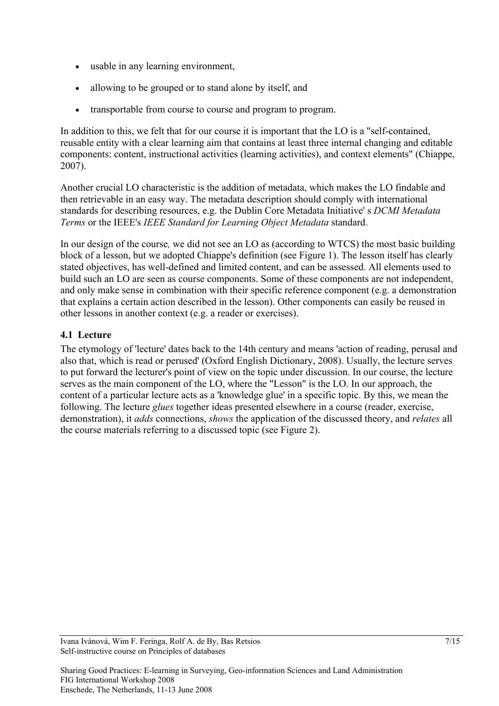- usable in any learning environment,
- allowing to be grouped or to stand alone by itself, and
- transportable from course to course and program to program.

In addition to this, we felt that for our course it is important that the LO is a "self-contained, reusable entity with a clear learning aim that contains at least three internal changing and editable components: content, instructional activities (learning activities), and context elements" (Chiappe, 2007).

Another crucial LO characteristic is the addition of metadata, which makes the LO findable and then retrievable in an easy way. The metadata description should comply with international standards for describing resources, e.g. the Dublin Core Metadata Initiative' s *DCMI Metadata Terms* or the IEEE's *IEEE Standard for Learning Object Metadata* standard.

In our design of the course*,* we did not see an LO as (according to WTCS) the most basic building block of a lesson, but we adopted Chiappe's definition (see Figure 1). The lesson itself has clearly stated objectives, has well-defined and limited content, and can be assessed. All elements used to build such an LO are seen as course components. Some of these components are not independent, and only make sense in combination with their specific reference component (e.g. a demonstration that explains a certain action described in the lesson). Other components can easily be reused in other lessons in another context (e.g. a reader or exercises).

## **4.1 Lecture**

The etymology of 'lecture' dates back to the 14th century and means 'action of reading, perusal and also that, which is read or perused' (Oxford English Dictionary, 2008). Usually, the lecture serves to put forward the lecturer's point of view on the topic under discussion. In our course, the lecture serves as the main component of the LO, where the "Lesson" is the LO. In our approach, the content of a particular lecture acts as a 'knowledge glue' in a specific topic. By this, we mean the following. The lecture *glues* together ideas presented elsewhere in a course (reader, exercise, demonstration), it *adds* connections, *shows* the application of the discussed theory, and *relates* all the course materials referring to a discussed topic (see Figure 2).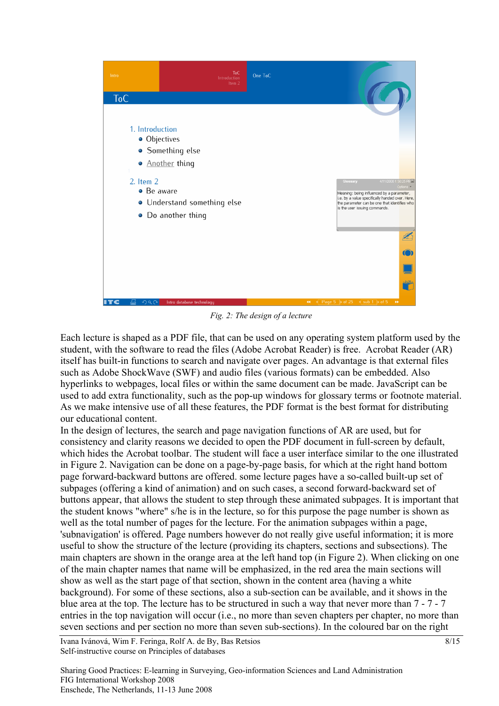

*Fig. 2: The design of a lecture*

Each lecture is shaped as a PDF file, that can be used on any operating system platform used by the student, with the software to read the files (Adobe Acrobat Reader) is free. Acrobat Reader (AR) itself has built-in functions to search and navigate over pages. An advantage is that external files such as Adobe ShockWave (SWF) and audio files (various formats) can be embedded. Also hyperlinks to webpages, local files or within the same document can be made. JavaScript can be used to add extra functionality, such as the pop-up windows for glossary terms or footnote material. As we make intensive use of all these features, the PDF format is the best format for distributing our educational content.

In the design of lectures, the search and page navigation functions of AR are used, but for consistency and clarity reasons we decided to open the PDF document in full-screen by default, which hides the Acrobat toolbar. The student will face a user interface similar to the one illustrated in Figure 2. Navigation can be done on a page-by-page basis, for which at the right hand bottom page forward-backward buttons are offered. some lecture pages have a so-called built-up set of subpages (offering a kind of animation) and on such cases, a second forward-backward set of buttons appear, that allows the student to step through these animated subpages. It is important that the student knows "where" s/he is in the lecture, so for this purpose the page number is shown as well as the total number of pages for the lecture. For the animation subpages within a page, 'subnavigation' is offered. Page numbers however do not really give useful information; it is more useful to show the structure of the lecture (providing its chapters, sections and subsections). The main chapters are shown in the orange area at the left hand top (in Figure 2). When clicking on one of the main chapter names that name will be emphasized, in the red area the main sections will show as well as the start page of that section, shown in the content area (having a white background). For some of these sections, also a sub-section can be available, and it shows in the blue area at the top. The lecture has to be structured in such a way that never more than 7 - 7 - 7 entries in the top navigation will occur (i.e., no more than seven chapters per chapter, no more than seven sections and per section no more than seven sub-sections). In the coloured bar on the right

Ivana Ivánová, Wim F. Feringa, Rolf A. de By, Bas Retsios 8/15 Self-instructive course on Principles of databases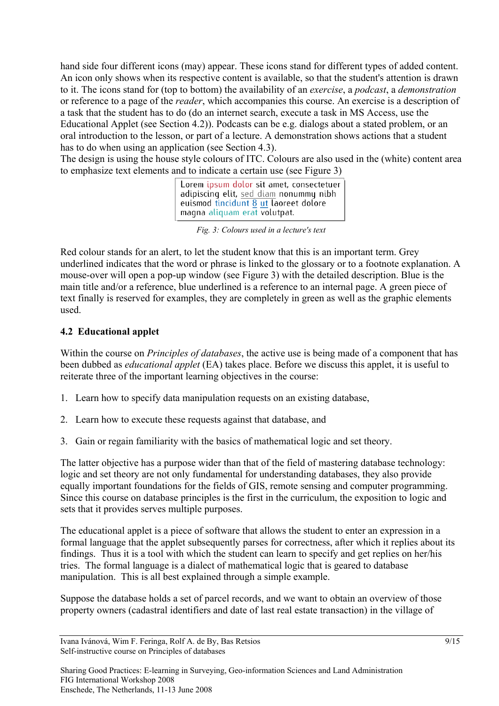hand side four different icons (may) appear. These icons stand for different types of added content. An icon only shows when its respective content is available, so that the student's attention is drawn to it. The icons stand for (top to bottom) the availability of an *exercise*, a *podcast*, a *demonstration*  or reference to a page of the *reader*, which accompanies this course. An exercise is a description of a task that the student has to do (do an internet search, execute a task in MS Access, use the Educational Applet (see Section 4.2)). Podcasts can be e.g. dialogs about a stated problem, or an oral introduction to the lesson, or part of a lecture. A demonstration shows actions that a student has to do when using an application (see Section 4.3).

The design is using the house style colours of ITC. Colours are also used in the (white) content area to emphasize text elements and to indicate a certain use (see Figure 3)

> Lorem ipsum dolor sit amet, consectetuer adipiscing elit, sed diam nonummy nibh euismod tincidunt 8 ut laoreet dolore magna aliquam erat volutpat.

*Fig. 3: Colours used in a lecture's text*

Red colour stands for an alert, to let the student know that this is an important term. Grey underlined indicates that the word or phrase is linked to the glossary or to a footnote explanation. A mouse-over will open a pop-up window (see Figure 3) with the detailed description. Blue is the main title and/or a reference, blue underlined is a reference to an internal page. A green piece of text finally is reserved for examples, they are completely in green as well as the graphic elements used.

## **4.2 Educational applet**

Within the course on *Principles of databases*, the active use is being made of a component that has been dubbed as *educational applet* (EA) takes place. Before we discuss this applet, it is useful to reiterate three of the important learning objectives in the course:

- 1. Learn how to specify data manipulation requests on an existing database,
- 2. Learn how to execute these requests against that database, and
- 3. Gain or regain familiarity with the basics of mathematical logic and set theory.

The latter objective has a purpose wider than that of the field of mastering database technology: logic and set theory are not only fundamental for understanding databases, they also provide equally important foundations for the fields of GIS, remote sensing and computer programming. Since this course on database principles is the first in the curriculum, the exposition to logic and sets that it provides serves multiple purposes.

The educational applet is a piece of software that allows the student to enter an expression in a formal language that the applet subsequently parses for correctness, after which it replies about its findings. Thus it is a tool with which the student can learn to specify and get replies on her/his tries. The formal language is a dialect of mathematical logic that is geared to database manipulation. This is all best explained through a simple example.

Suppose the database holds a set of parcel records, and we want to obtain an overview of those property owners (cadastral identifiers and date of last real estate transaction) in the village of

Ivana Ivánová, Wim F. Feringa, Rolf A. de By, Bas Retsios 9/15 Self-instructive course on Principles of databases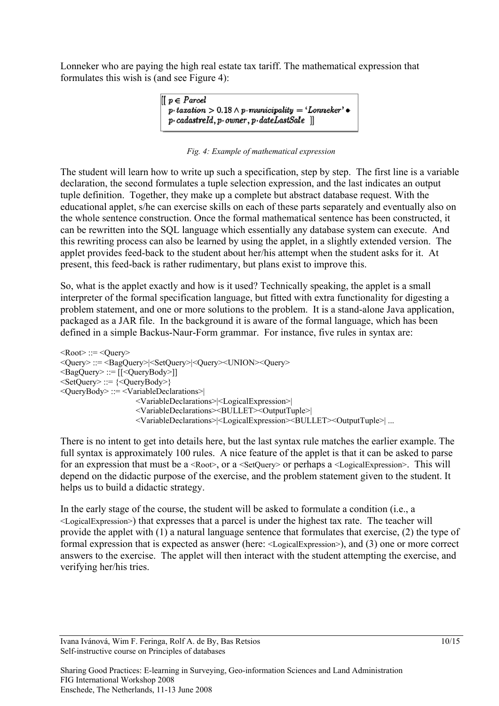Lonneker who are paying the high real estate tax tariff. The mathematical expression that formulates this wish is (and see Figure 4):



#### *Fig. 4: Example of mathematical expression*

The student will learn how to write up such a specification, step by step. The first line is a variable declaration, the second formulates a tuple selection expression, and the last indicates an output tuple definition. Together, they make up a complete but abstract database request. With the educational applet, s/he can exercise skills on each of these parts separately and eventually also on the whole sentence construction. Once the formal mathematical sentence has been constructed, it can be rewritten into the SQL language which essentially any database system can execute. And this rewriting process can also be learned by using the applet, in a slightly extended version. The applet provides feed-back to the student about her/his attempt when the student asks for it. At present, this feed-back is rather rudimentary, but plans exist to improve this.

So, what is the applet exactly and how is it used? Technically speaking, the applet is a small interpreter of the formal specification language, but fitted with extra functionality for digesting a problem statement, and one or more solutions to the problem. It is a stand-alone Java application, packaged as a JAR file. In the background it is aware of the formal language, which has been defined in a simple Backus-Naur-Form grammar. For instance, five rules in syntax are:

 $<\text{Root}$ : :=  $<\text{Query}$ <Query> ::= <BagQuery>|<SetQuery>|<Query><UNION><Query> <BagQuery> ::= [[<QueryBody>]]  $\leq$ SetQuery> ::=  $\leq$ QueryBody>} <QueryBody> ::= <VariableDeclarations>| <VariableDeclarations>|<LogicalExpression>| <VariableDeclarations><BULLET><OutputTuple>| <VariableDeclarations>|<LogicalExpression><BULLET><OutputTuple>| ...

There is no intent to get into details here, but the last syntax rule matches the earlier example. The full syntax is approximately 100 rules. A nice feature of the applet is that it can be asked to parse for an expression that must be a <Root>, or a <SetQuery> or perhaps a <LogicalExpression>. This will depend on the didactic purpose of the exercise, and the problem statement given to the student. It helps us to build a didactic strategy.

In the early stage of the course, the student will be asked to formulate a condition (i.e., a <LogicalExpression>) that expresses that a parcel is under the highest tax rate. The teacher will provide the applet with (1) a natural language sentence that formulates that exercise, (2) the type of formal expression that is expected as answer (here: <LogicalExpression>), and (3) one or more correct answers to the exercise. The applet will then interact with the student attempting the exercise, and verifying her/his tries.

Ivana Ivánová, Wim F. Feringa, Rolf A. de By, Bas Retsios 10/15 Self-instructive course on Principles of databases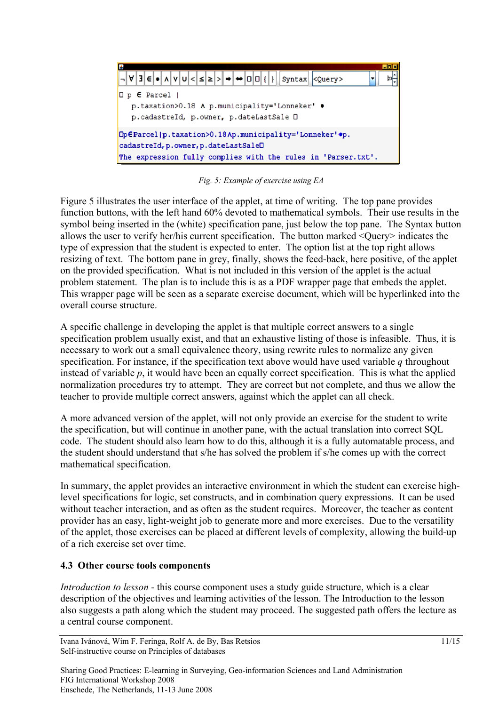

*Fig. 5: Example of exercise using EA*

Figure 5 illustrates the user interface of the applet, at time of writing. The top pane provides function buttons, with the left hand 60% devoted to mathematical symbols. Their use results in the symbol being inserted in the (white) specification pane, just below the top pane. The Syntax button allows the user to verify her/his current specification. The button marked <Query> indicates the type of expression that the student is expected to enter. The option list at the top right allows resizing of text. The bottom pane in grey, finally, shows the feed-back, here positive, of the applet on the provided specification. What is not included in this version of the applet is the actual problem statement. The plan is to include this is as a PDF wrapper page that embeds the applet. This wrapper page will be seen as a separate exercise document, which will be hyperlinked into the overall course structure.

A specific challenge in developing the applet is that multiple correct answers to a single specification problem usually exist, and that an exhaustive listing of those is infeasible. Thus, it is necessary to work out a small equivalence theory, using rewrite rules to normalize any given specification. For instance, if the specification text above would have used variable *q* throughout instead of variable *p*, it would have been an equally correct specification. This is what the applied normalization procedures try to attempt. They are correct but not complete, and thus we allow the teacher to provide multiple correct answers, against which the applet can all check.

A more advanced version of the applet, will not only provide an exercise for the student to write the specification, but will continue in another pane, with the actual translation into correct SQL code. The student should also learn how to do this, although it is a fully automatable process, and the student should understand that s/he has solved the problem if s/he comes up with the correct mathematical specification.

In summary, the applet provides an interactive environment in which the student can exercise highlevel specifications for logic, set constructs, and in combination query expressions. It can be used without teacher interaction, and as often as the student requires. Moreover, the teacher as content provider has an easy, light-weight job to generate more and more exercises. Due to the versatility of the applet, those exercises can be placed at different levels of complexity, allowing the build-up of a rich exercise set over time.

#### **4.3 Other course tools components**

*Introduction to lesson* - this course component uses a study guide structure, which is a clear description of the objectives and learning activities of the lesson. The Introduction to the lesson also suggests a path along which the student may proceed. The suggested path offers the lecture as a central course component.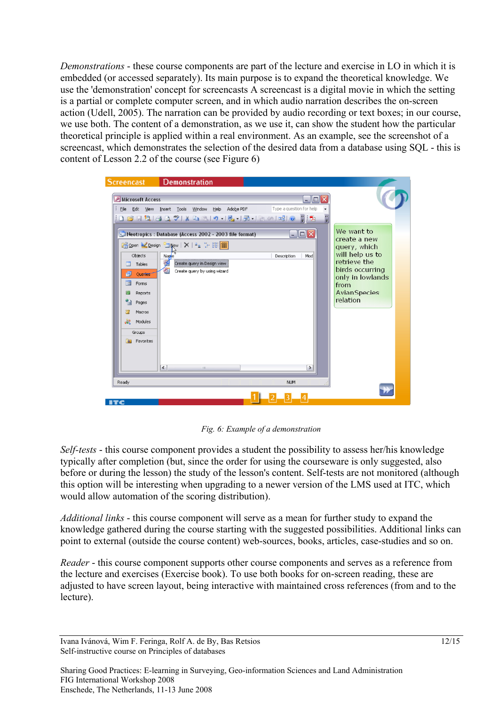*Demonstrations* - these course components are part of the lecture and exercise in LO in which it is embedded (or accessed separately). Its main purpose is to expand the theoretical knowledge. We use the 'demonstration' concept for screencasts A screencast is a digital movie in which the setting is a partial or complete computer screen, and in which audio narration describes the on-screen action (Udell, 2005). The narration can be provided by audio recording or text boxes; in our course, we use both. The content of a demonstration, as we use it, can show the student how the particular theoretical principle is applied within a real environment. As an example, see the screenshot of a screencast, which demonstrates the selection of the desired data from a database using SQL - this is content of Lesson 2.2 of the course (see Figure 6)

| <b>Screencast</b>                                                                                                                         | <b>Demonstration</b>                                   |                                              |                                 |  |
|-------------------------------------------------------------------------------------------------------------------------------------------|--------------------------------------------------------|----------------------------------------------|---------------------------------|--|
| Microsoft Access                                                                                                                          |                                                        | $ \Box$ $\times$                             |                                 |  |
| Type a question for help<br>: File Edit View Insert Tools Window Help Adobe PDF<br>$\left  \Omega \right $ . The studies of $\mathcal{I}$ |                                                        |                                              |                                 |  |
|                                                                                                                                           | Neotropics : Database (Access 2002 - 2003 file format) | $\blacksquare$ $\blacksquare$ $\blacksquare$ | We want to<br>create a new      |  |
|                                                                                                                                           | Gopen Cesign Tapew   X   20 1: 00   11                 |                                              | query, which                    |  |
| Objects                                                                                                                                   | Napie<br>¥<br>Create query in Design view              | Description<br>Mod                           | will help us to<br>retrieve the |  |
| 囲<br>Tables<br>貞<br><b>Oueries</b>                                                                                                        | Œ<br>Create query by using wizard                      |                                              | birds occurring                 |  |
| Eg<br>Forms                                                                                                                               |                                                        |                                              | only in lowlands                |  |
| Reports                                                                                                                                   |                                                        |                                              | from<br>AvianSpecies            |  |
| Pages                                                                                                                                     |                                                        |                                              | relation                        |  |
| Macros                                                                                                                                    |                                                        |                                              |                                 |  |
| Modules<br>22                                                                                                                             |                                                        |                                              |                                 |  |
| Groups                                                                                                                                    |                                                        |                                              |                                 |  |
| <b>*</b> Favorites                                                                                                                        |                                                        |                                              |                                 |  |
|                                                                                                                                           |                                                        |                                              |                                 |  |
|                                                                                                                                           | $\left  \right $<br>m.                                 | $\rightarrow$                                |                                 |  |
| Ready                                                                                                                                     |                                                        | <b>NUM</b>                                   |                                 |  |
|                                                                                                                                           |                                                        |                                              |                                 |  |
| <b>ITC</b>                                                                                                                                |                                                        |                                              |                                 |  |

*Fig. 6: Example of a demonstration*

*Self-tests* - this course component provides a student the possibility to assess her/his knowledge typically after completion (but, since the order for using the courseware is only suggested, also before or during the lesson) the study of the lesson's content. Self-tests are not monitored (although this option will be interesting when upgrading to a newer version of the LMS used at ITC, which would allow automation of the scoring distribution).

*Additional links* - this course component will serve as a mean for further study to expand the knowledge gathered during the course starting with the suggested possibilities. Additional links can point to external (outside the course content) web-sources, books, articles, case-studies and so on.

*Reader* - this course component supports other course components and serves as a reference from the lecture and exercises (Exercise book). To use both books for on-screen reading, these are adjusted to have screen layout, being interactive with maintained cross references (from and to the lecture).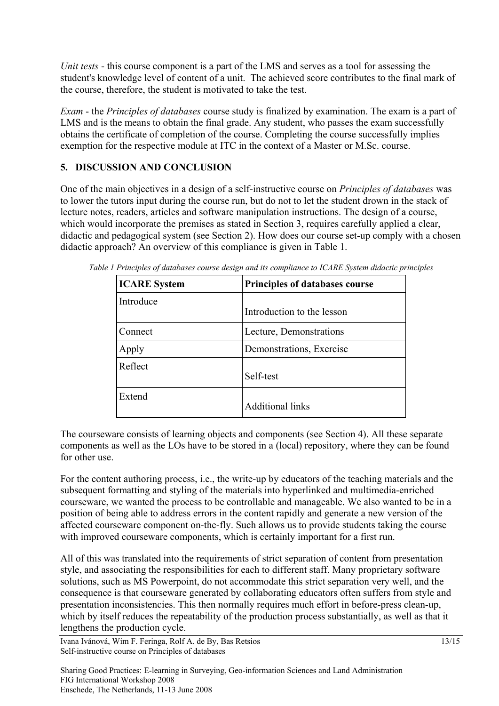*Unit tests* - this course component is a part of the LMS and serves as a tool for assessing the student's knowledge level of content of a unit. The achieved score contributes to the final mark of the course, therefore, the student is motivated to take the test.

*Exam* - the *Principles of databases* course study is finalized by examination. The exam is a part of LMS and is the means to obtain the final grade. Any student, who passes the exam successfully obtains the certificate of completion of the course. Completing the course successfully implies exemption for the respective module at ITC in the context of a Master or M.Sc. course.

## **5. DISCUSSION AND CONCLUSION**

One of the main objectives in a design of a self-instructive course on *Principles of databases* was to lower the tutors input during the course run, but do not to let the student drown in the stack of lecture notes, readers, articles and software manipulation instructions. The design of a course, which would incorporate the premises as stated in Section 3, requires carefully applied a clear, didactic and pedagogical system (see Section 2). How does our course set-up comply with a chosen didactic approach? An overview of this compliance is given in Table 1.

| <b>ICARE System</b> | <b>Principles of databases course</b> |  |
|---------------------|---------------------------------------|--|
| Introduce           | Introduction to the lesson            |  |
| Connect             | Lecture, Demonstrations               |  |
| Apply               | Demonstrations, Exercise              |  |
| Reflect             | Self-test                             |  |
| Extend              | <b>Additional links</b>               |  |

*Table 1 Principles of databases course design and its compliance to ICARE System didactic principles*

The courseware consists of learning objects and components (see Section 4). All these separate components as well as the LOs have to be stored in a (local) repository, where they can be found for other use.

For the content authoring process, i.e., the write-up by educators of the teaching materials and the subsequent formatting and styling of the materials into hyperlinked and multimedia-enriched courseware, we wanted the process to be controllable and manageable. We also wanted to be in a position of being able to address errors in the content rapidly and generate a new version of the affected courseware component on-the-fly. Such allows us to provide students taking the course with improved courseware components, which is certainly important for a first run.

All of this was translated into the requirements of strict separation of content from presentation style, and associating the responsibilities for each to different staff. Many proprietary software solutions, such as MS Powerpoint, do not accommodate this strict separation very well, and the consequence is that courseware generated by collaborating educators often suffers from style and presentation inconsistencies. This then normally requires much effort in before-press clean-up, which by itself reduces the repeatability of the production process substantially, as well as that it lengthens the production cycle.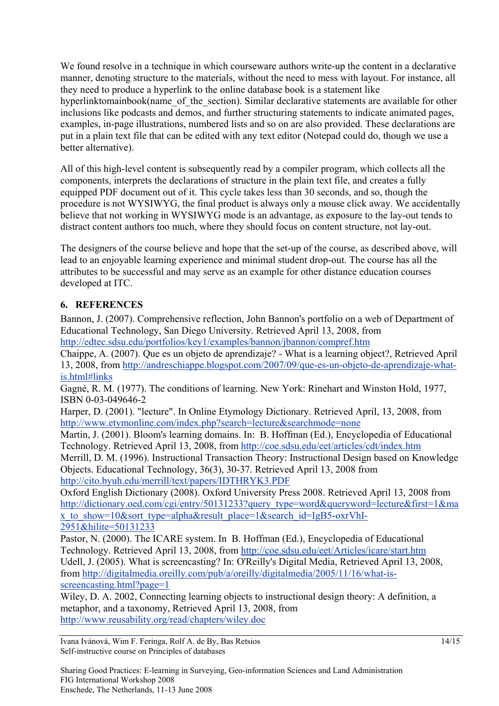We found resolve in a technique in which courseware authors write-up the content in a declarative manner, denoting structure to the materials, without the need to mess with layout. For instance, all they need to produce a hyperlink to the online database book is a statement like hyperlinktomainbook(name\_of\_the\_section). Similar declarative statements are available for other inclusions like podcasts and demos, and further structuring statements to indicate animated pages, examples, in-page illustrations, numbered lists and so on are also provided. These declarations are put in a plain text file that can be edited with any text editor (Notepad could do, though we use a better alternative).

All of this high-level content is subsequently read by a compiler program, which collects all the components, interprets the declarations of structure in the plain text file, and creates a fully equipped PDF document out of it. This cycle takes less than 30 seconds, and so, though the procedure is not WYSIWYG, the final product is always only a mouse click away. We accidentally believe that not working in WYSIWYG mode is an advantage, as exposure to the lay-out tends to distract content authors too much, where they should focus on content structure, not lay-out.

The designers of the course believe and hope that the set-up of the course, as described above, will lead to an enjoyable learning experience and minimal student drop-out. The course has all the attributes to be successful and may serve as an example for other distance education courses developed at ITC.

## **6. REFERENCES**

Bannon, J. (2007). Comprehensive reflection, John Bannon's portfolio on a web of Department of Educational Technology, San Diego University. Retrieved April 13, 2008, from <http://edtec.sdsu.edu/portfolios/key1/examples/bannon/jbannon/compref.htm>

Chaippe, A. (2007). Que es un objeto de aprendizaje? - What is a learning object?, Retrieved April 13, 2008, from [http://andreschiappe.blogspot.com/2007/09/que-es-un-objeto-de-aprendizaje-what](http://andreschiappe.blogspot.com/2007/09/que-es-un-objeto-de-aprendizaje-what-is.html#links)[is.html#links](http://andreschiappe.blogspot.com/2007/09/que-es-un-objeto-de-aprendizaje-what-is.html#links)

Gagné, R. M. (1977). The conditions of learning. New York: Rinehart and Winston Hold, 1977, ISBN 0-03-049646-2

Harper, D. (2001). "lecture". In Online Etymology Dictionary. Retrieved April, 13, 2008, from <http://www.etymonline.com/index.php?search=lecture&searchmode=none>

Martin, J. (2001). Bloom's learning domains. In: B. Hoffman (Ed.), Encyclopedia of Educational Technology. Retrieved April 13, 2008, from <http://coe.sdsu.edu/eet/articles/cdt/index.htm>

Merrill, D. M. (1996). Instructional Transaction Theory: Instructional Design based on Knowledge Objects. Educational Technology, 36(3), 30-37. Retrieved April 13, 2008 from <http://cito.byuh.edu/merrill/text/papers/IDTHRYK3.PDF>

Oxford English Dictionary (2008). Oxford University Press 2008. Retrieved April 13, 2008 from [http://dictionary.oed.com/cgi/entry/50131233?query\\_type=word&queryword=lecture&first=1&ma](http://dictionary.oed.com/cgi/entry/50131233?query_type=word&queryword=lecture&first=1&max_to_show=10&sort_type=alpha&result_place=1&search_id=IgB5-oxrVhI-2951&hilite=50131233) x to show=10&sort type=alpha&result place=1&search id=IgB5-oxrVhI-[2951&hilite=50131233](http://dictionary.oed.com/cgi/entry/50131233?query_type=word&queryword=lecture&first=1&max_to_show=10&sort_type=alpha&result_place=1&search_id=IgB5-oxrVhI-2951&hilite=50131233)

Pastor, N. (2000). The ICARE system. In B. Hoffman (Ed.), Encyclopedia of Educational Technology. Retrieved April 13, 2008, from <http://coe.sdsu.edu/eet/Articles/icare/start.htm> Udell, J. (2005). What is screencasting? In: O'Reilly's Digital Media, Retrieved April 13, 2008, from [http://digitalmedia.oreilly.com/pub/a/oreilly/digitalmedia/2005/11/16/what-is](http://digitalmedia.oreilly.com/pub/a/oreilly/digitalmedia/2005/11/16/what-is-screencasting.html?page=1)[screencasting.html?page=1](http://digitalmedia.oreilly.com/pub/a/oreilly/digitalmedia/2005/11/16/what-is-screencasting.html?page=1)

Wiley, D. A. 2002, Connecting learning objects to instructional design theory: A definition, a metaphor, and a taxonomy, Retrieved April 13, 2008, from <http://www.reusability.org/read/chapters/wiley.doc>